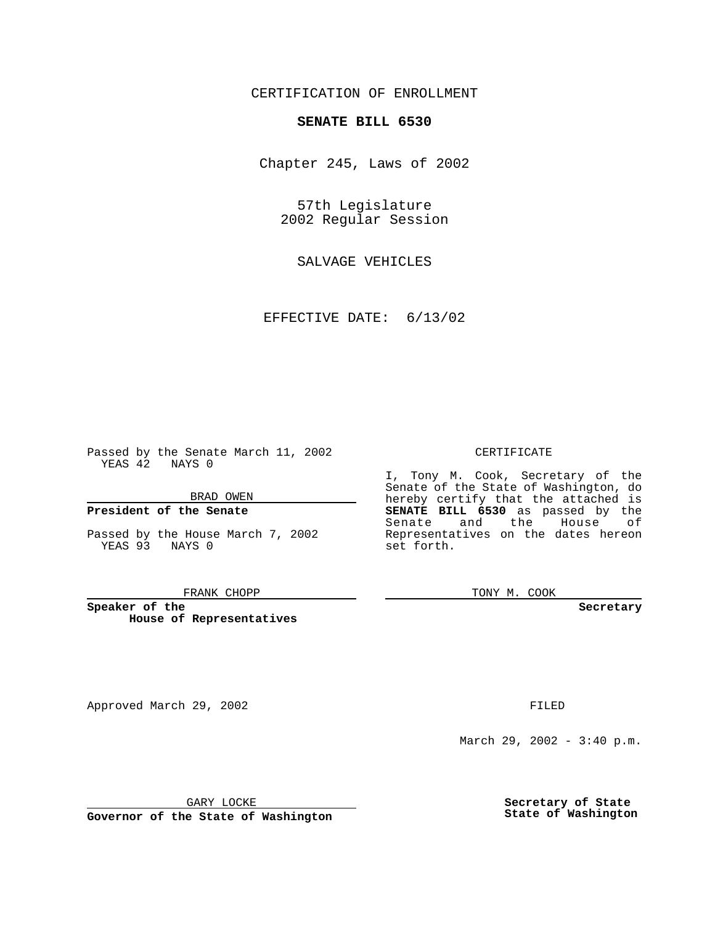## CERTIFICATION OF ENROLLMENT

# **SENATE BILL 6530**

Chapter 245, Laws of 2002

57th Legislature 2002 Regular Session

SALVAGE VEHICLES

EFFECTIVE DATE: 6/13/02

Passed by the Senate March 11, 2002 YEAS 42 NAYS 0

BRAD OWEN

### **President of the Senate**

Passed by the House March 7, 2002 YEAS 93 NAYS 0

#### FRANK CHOPP

**Speaker of the House of Representatives**

Approved March 29, 2002 **FILED** 

#### CERTIFICATE

I, Tony M. Cook, Secretary of the Senate of the State of Washington, do hereby certify that the attached is **SENATE BILL 6530** as passed by the Senate and the House of Representatives on the dates hereon set forth.

TONY M. COOK

**Secretary**

March 29, 2002 - 3:40 p.m.

GARY LOCKE

**Governor of the State of Washington**

**Secretary of State State of Washington**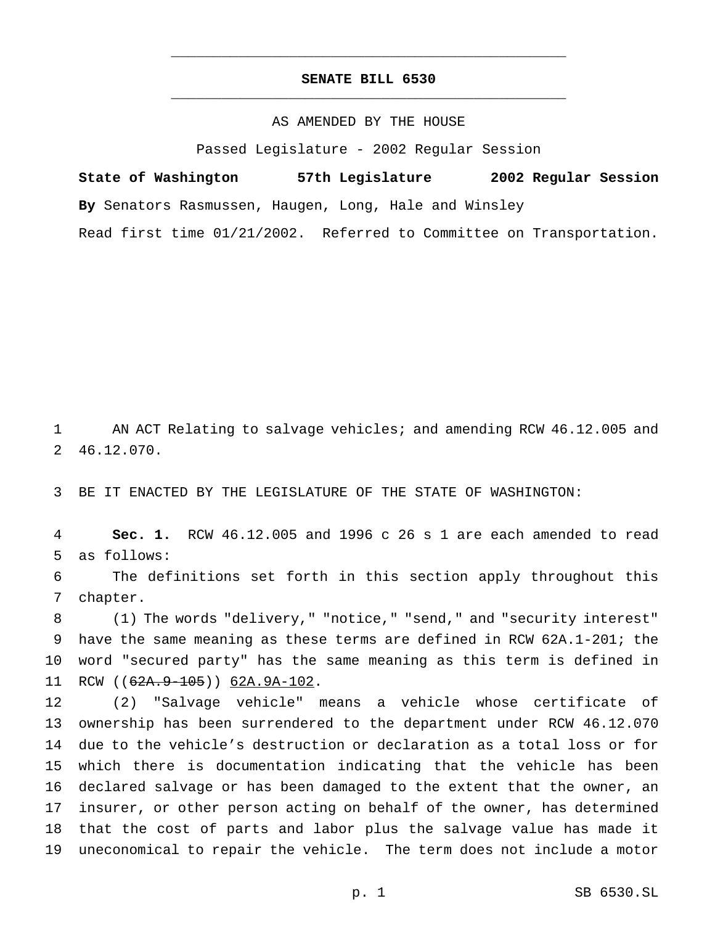## **SENATE BILL 6530** \_\_\_\_\_\_\_\_\_\_\_\_\_\_\_\_\_\_\_\_\_\_\_\_\_\_\_\_\_\_\_\_\_\_\_\_\_\_\_\_\_\_\_\_\_\_\_

\_\_\_\_\_\_\_\_\_\_\_\_\_\_\_\_\_\_\_\_\_\_\_\_\_\_\_\_\_\_\_\_\_\_\_\_\_\_\_\_\_\_\_\_\_\_\_

### AS AMENDED BY THE HOUSE

Passed Legislature - 2002 Regular Session

**State of Washington 57th Legislature 2002 Regular Session By** Senators Rasmussen, Haugen, Long, Hale and Winsley Read first time 01/21/2002. Referred to Committee on Transportation.

 AN ACT Relating to salvage vehicles; and amending RCW 46.12.005 and 46.12.070.

BE IT ENACTED BY THE LEGISLATURE OF THE STATE OF WASHINGTON:

 **Sec. 1.** RCW 46.12.005 and 1996 c 26 s 1 are each amended to read as follows:

 The definitions set forth in this section apply throughout this chapter.

 (1) The words "delivery," "notice," "send," and "security interest" have the same meaning as these terms are defined in RCW 62A.1-201; the word "secured party" has the same meaning as this term is defined in 11 RCW ((62A.9-105)) 62A.9A-102.

 (2) "Salvage vehicle" means a vehicle whose certificate of ownership has been surrendered to the department under RCW 46.12.070 due to the vehicle's destruction or declaration as a total loss or for which there is documentation indicating that the vehicle has been declared salvage or has been damaged to the extent that the owner, an insurer, or other person acting on behalf of the owner, has determined that the cost of parts and labor plus the salvage value has made it uneconomical to repair the vehicle. The term does not include a motor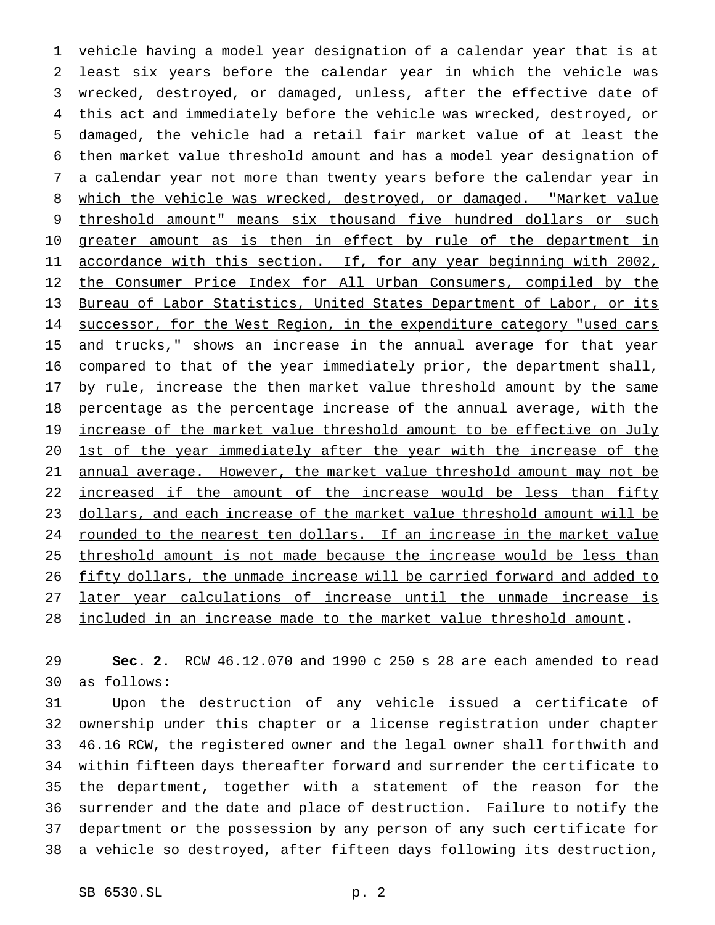1 vehicle having a model year designation of a calendar year that is at 2 least six years before the calendar year in which the vehicle was 3 wrecked, destroyed, or damaged, unless, after the effective date of 4 this act and immediately before the vehicle was wrecked, destroyed, or 5 damaged, the vehicle had a retail fair market value of at least the 6 then market value threshold amount and has a model year designation of 7 a calendar year not more than twenty years before the calendar year in 8 which the vehicle was wrecked, destroyed, or damaged. "Market value 9 threshold amount" means six thousand five hundred dollars or such 10 greater amount as is then in effect by rule of the department in 11 accordance with this section. If, for any year beginning with 2002, 12 the Consumer Price Index for All Urban Consumers, compiled by the 13 Bureau of Labor Statistics, United States Department of Labor, or its 14 successor, for the West Region, in the expenditure category "used cars 15 and trucks," shows an increase in the annual average for that year 16 compared to that of the year immediately prior, the department shall, 17 by rule, increase the then market value threshold amount by the same 18 percentage as the percentage increase of the annual average, with the 19 increase of the market value threshold amount to be effective on July 20 1st of the year immediately after the year with the increase of the 21 annual average. However, the market value threshold amount may not be 22 increased if the amount of the increase would be less than fifty 23 dollars, and each increase of the market value threshold amount will be 24 rounded to the nearest ten dollars. If an increase in the market value 25 threshold amount is not made because the increase would be less than 26 fifty dollars, the unmade increase will be carried forward and added to 27 later year calculations of increase until the unmade increase is 28 included in an increase made to the market value threshold amount.

29 **Sec. 2.** RCW 46.12.070 and 1990 c 250 s 28 are each amended to read 30 as follows:

 Upon the destruction of any vehicle issued a certificate of ownership under this chapter or a license registration under chapter 46.16 RCW, the registered owner and the legal owner shall forthwith and within fifteen days thereafter forward and surrender the certificate to the department, together with a statement of the reason for the surrender and the date and place of destruction. Failure to notify the department or the possession by any person of any such certificate for a vehicle so destroyed, after fifteen days following its destruction,